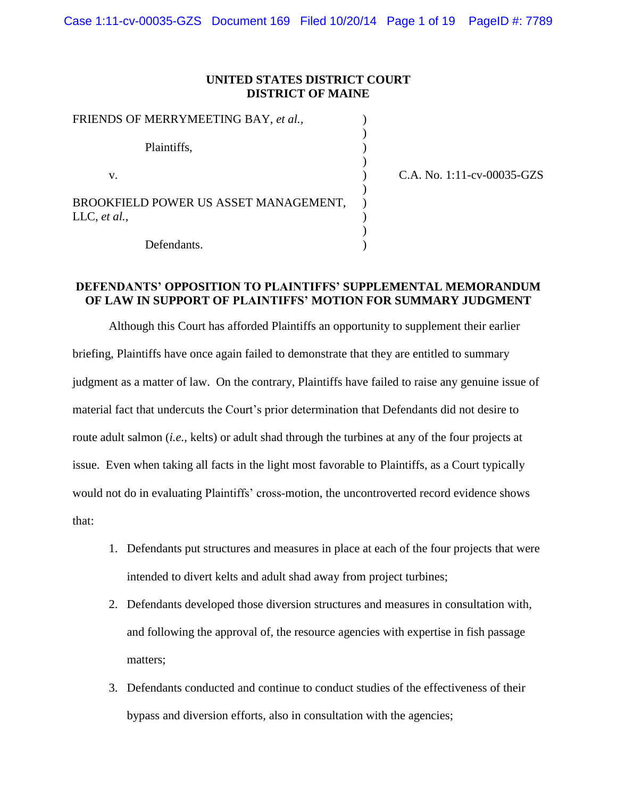#### **UNITED STATES DISTRICT COURT DISTRICT OF MAINE**

| FRIENDS OF MERRYMEETING BAY, et al.,  |                            |
|---------------------------------------|----------------------------|
| Plaintiffs,                           |                            |
| V.                                    | C.A. No. 1:11-cv-00035-GZS |
| BROOKFIELD POWER US ASSET MANAGEMENT, |                            |
| LLC, et al.,                          |                            |
| Defendants.                           |                            |

# **DEFENDANTS' OPPOSITION TO PLAINTIFFS' SUPPLEMENTAL MEMORANDUM OF LAW IN SUPPORT OF PLAINTIFFS' MOTION FOR SUMMARY JUDGMENT**

Although this Court has afforded Plaintiffs an opportunity to supplement their earlier briefing, Plaintiffs have once again failed to demonstrate that they are entitled to summary judgment as a matter of law. On the contrary, Plaintiffs have failed to raise any genuine issue of material fact that undercuts the Court's prior determination that Defendants did not desire to route adult salmon (*i.e.,* kelts) or adult shad through the turbines at any of the four projects at issue. Even when taking all facts in the light most favorable to Plaintiffs, as a Court typically would not do in evaluating Plaintiffs' cross-motion, the uncontroverted record evidence shows that:

- 1. Defendants put structures and measures in place at each of the four projects that were intended to divert kelts and adult shad away from project turbines;
- 2. Defendants developed those diversion structures and measures in consultation with, and following the approval of, the resource agencies with expertise in fish passage matters;
- 3. Defendants conducted and continue to conduct studies of the effectiveness of their bypass and diversion efforts, also in consultation with the agencies;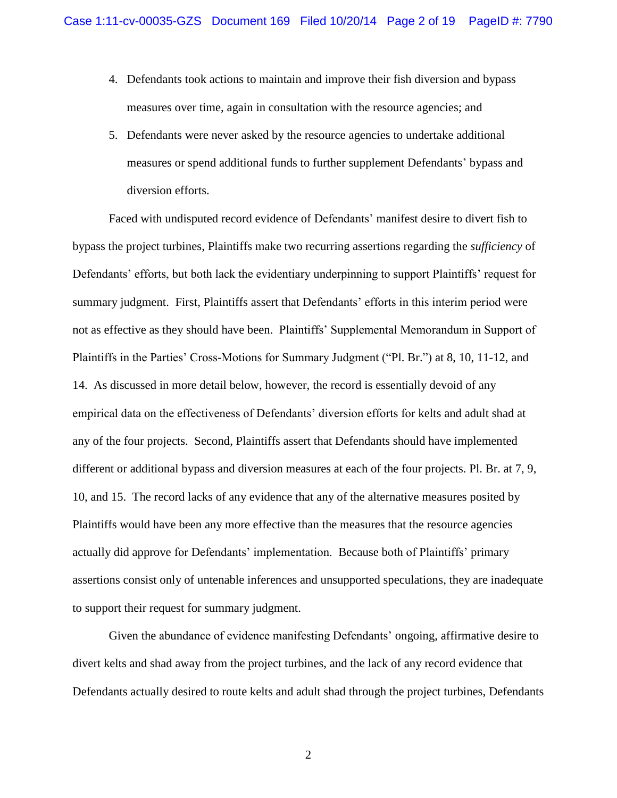- 4. Defendants took actions to maintain and improve their fish diversion and bypass measures over time, again in consultation with the resource agencies; and
- 5. Defendants were never asked by the resource agencies to undertake additional measures or spend additional funds to further supplement Defendants' bypass and diversion efforts.

Faced with undisputed record evidence of Defendants' manifest desire to divert fish to bypass the project turbines, Plaintiffs make two recurring assertions regarding the *sufficiency* of Defendants' efforts, but both lack the evidentiary underpinning to support Plaintiffs' request for summary judgment. First, Plaintiffs assert that Defendants' efforts in this interim period were not as effective as they should have been. Plaintiffs' Supplemental Memorandum in Support of Plaintiffs in the Parties' Cross-Motions for Summary Judgment ("Pl. Br.") at 8, 10, 11-12, and 14. As discussed in more detail below, however, the record is essentially devoid of any empirical data on the effectiveness of Defendants' diversion efforts for kelts and adult shad at any of the four projects. Second, Plaintiffs assert that Defendants should have implemented different or additional bypass and diversion measures at each of the four projects. Pl. Br. at 7, 9, 10, and 15. The record lacks of any evidence that any of the alternative measures posited by Plaintiffs would have been any more effective than the measures that the resource agencies actually did approve for Defendants' implementation. Because both of Plaintiffs' primary assertions consist only of untenable inferences and unsupported speculations, they are inadequate to support their request for summary judgment.

Given the abundance of evidence manifesting Defendants' ongoing, affirmative desire to divert kelts and shad away from the project turbines, and the lack of any record evidence that Defendants actually desired to route kelts and adult shad through the project turbines, Defendants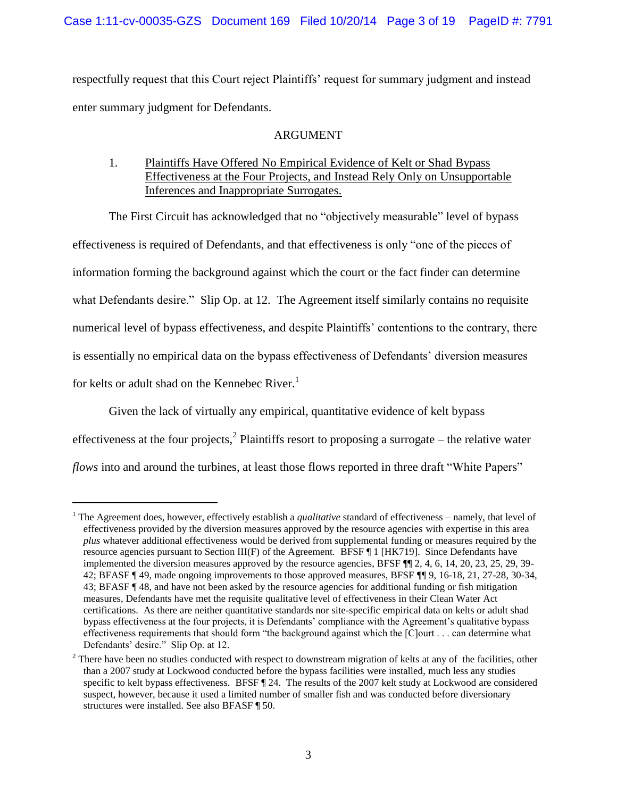respectfully request that this Court reject Plaintiffs' request for summary judgment and instead enter summary judgment for Defendants.

# ARGUMENT

1. Plaintiffs Have Offered No Empirical Evidence of Kelt or Shad Bypass Effectiveness at the Four Projects, and Instead Rely Only on Unsupportable Inferences and Inappropriate Surrogates.

The First Circuit has acknowledged that no "objectively measurable" level of bypass effectiveness is required of Defendants, and that effectiveness is only "one of the pieces of information forming the background against which the court or the fact finder can determine what Defendants desire." Slip Op. at 12. The Agreement itself similarly contains no requisite numerical level of bypass effectiveness, and despite Plaintiffs' contentions to the contrary, there is essentially no empirical data on the bypass effectiveness of Defendants' diversion measures for kelts or adult shad on the Kennebec River.<sup>1</sup>

Given the lack of virtually any empirical, quantitative evidence of kelt bypass effectiveness at the four projects,<sup>2</sup> Plaintiffs resort to proposing a surrogate – the relative water *flows* into and around the turbines, at least those flows reported in three draft "White Papers"

<sup>&</sup>lt;sup>1</sup> The Agreement does, however, effectively establish a *qualitative* standard of effectiveness – namely, that level of effectiveness provided by the diversion measures approved by the resource agencies with expertise in this area *plus* whatever additional effectiveness would be derived from supplemental funding or measures required by the resource agencies pursuant to Section III(F) of the Agreement. BFSF ¶ 1 [HK719]. Since Defendants have implemented the diversion measures approved by the resource agencies, BFSF  $\P\P$  2, 4, 6, 14, 20, 23, 25, 29, 39-42; BFASF ¶ 49, made ongoing improvements to those approved measures, BFSF ¶¶ 9, 16-18, 21, 27-28, 30-34, 43; BFASF ¶ 48, and have not been asked by the resource agencies for additional funding or fish mitigation measures, Defendants have met the requisite qualitative level of effectiveness in their Clean Water Act certifications. As there are neither quantitative standards nor site-specific empirical data on kelts or adult shad bypass effectiveness at the four projects, it is Defendants' compliance with the Agreement's qualitative bypass effectiveness requirements that should form "the background against which the [C]ourt . . . can determine what Defendants' desire." Slip Op. at 12.

 $2$  There have been no studies conducted with respect to downstream migration of kelts at any of the facilities, other than a 2007 study at Lockwood conducted before the bypass facilities were installed, much less any studies specific to kelt bypass effectiveness. BFSF  $\llbracket 24$ . The results of the 2007 kelt study at Lockwood are considered suspect, however, because it used a limited number of smaller fish and was conducted before diversionary structures were installed. See also BFASF ¶ 50.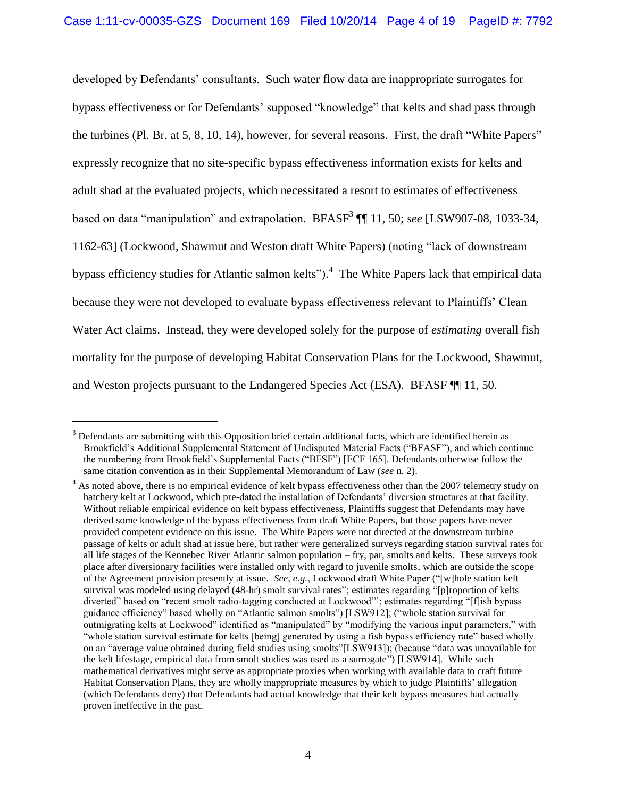developed by Defendants' consultants. Such water flow data are inappropriate surrogates for bypass effectiveness or for Defendants' supposed "knowledge" that kelts and shad pass through the turbines (Pl. Br. at 5, 8, 10, 14), however, for several reasons. First, the draft "White Papers" expressly recognize that no site-specific bypass effectiveness information exists for kelts and adult shad at the evaluated projects, which necessitated a resort to estimates of effectiveness based on data "manipulation" and extrapolation. BFASF<sup>3</sup> [[1] 11, 50; *see* [LSW907-08, 1033-34, 1162-63] (Lockwood, Shawmut and Weston draft White Papers) (noting "lack of downstream bypass efficiency studies for Atlantic salmon kelts").<sup>4</sup> The White Papers lack that empirical data because they were not developed to evaluate bypass effectiveness relevant to Plaintiffs' Clean Water Act claims. Instead, they were developed solely for the purpose of *estimating* overall fish mortality for the purpose of developing Habitat Conservation Plans for the Lockwood, Shawmut, and Weston projects pursuant to the Endangered Species Act (ESA). BFASF ¶¶ 11, 50.

 $3$  Defendants are submitting with this Opposition brief certain additional facts, which are identified herein as Brookfield's Additional Supplemental Statement of Undisputed Material Facts ("BFASF"), and which continue the numbering from Brookfield's Supplemental Facts ("BFSF") [ECF 165]. Defendants otherwise follow the same citation convention as in their Supplemental Memorandum of Law (*see* n. 2).

<sup>&</sup>lt;sup>4</sup> As noted above, there is no empirical evidence of kelt bypass effectiveness other than the 2007 telemetry study on hatchery kelt at Lockwood, which pre-dated the installation of Defendants' diversion structures at that facility. Without reliable empirical evidence on kelt bypass effectiveness, Plaintiffs suggest that Defendants may have derived some knowledge of the bypass effectiveness from draft White Papers, but those papers have never provided competent evidence on this issue. The White Papers were not directed at the downstream turbine passage of kelts or adult shad at issue here, but rather were generalized surveys regarding station survival rates for all life stages of the Kennebec River Atlantic salmon population – fry, par, smolts and kelts. These surveys took place after diversionary facilities were installed only with regard to juvenile smolts, which are outside the scope of the Agreement provision presently at issue. *See, e.g.*, Lockwood draft White Paper ("[w]hole station kelt survival was modeled using delayed (48-hr) smolt survival rates"; estimates regarding "[p]roportion of kelts diverted" based on "recent smolt radio-tagging conducted at Lockwood"'; estimates regarding "[f]ish bypass guidance efficiency" based wholly on "Atlantic salmon smolts") [LSW912]; ("whole station survival for outmigrating kelts at Lockwood" identified as "manipulated" by "modifying the various input parameters," with "whole station survival estimate for kelts [being] generated by using a fish bypass efficiency rate" based wholly on an "average value obtained during field studies using smolts"[LSW913]); (because "data was unavailable for the kelt lifestage, empirical data from smolt studies was used as a surrogate") [LSW914]. While such mathematical derivatives might serve as appropriate proxies when working with available data to craft future Habitat Conservation Plans, they are wholly inappropriate measures by which to judge Plaintiffs' allegation (which Defendants deny) that Defendants had actual knowledge that their kelt bypass measures had actually proven ineffective in the past.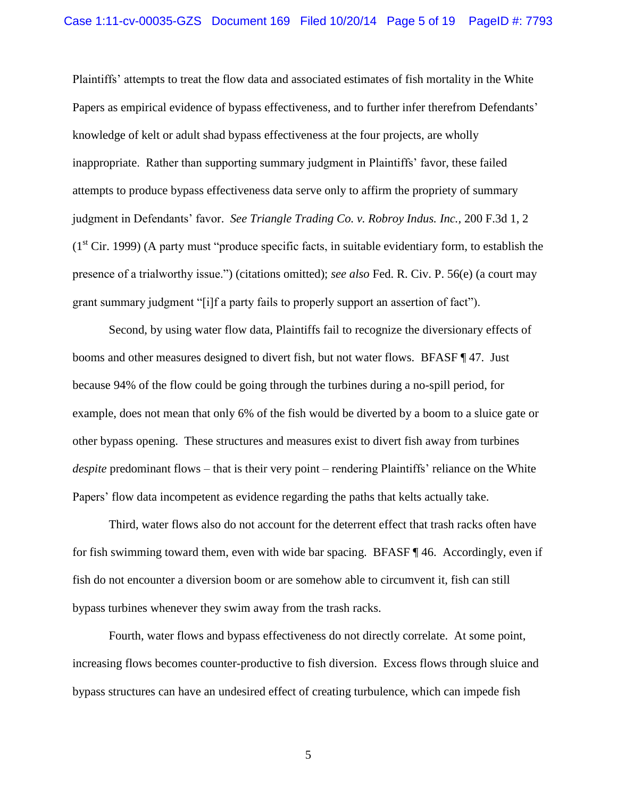Plaintiffs' attempts to treat the flow data and associated estimates of fish mortality in the White Papers as empirical evidence of bypass effectiveness, and to further infer therefrom Defendants' knowledge of kelt or adult shad bypass effectiveness at the four projects, are wholly inappropriate. Rather than supporting summary judgment in Plaintiffs' favor, these failed attempts to produce bypass effectiveness data serve only to affirm the propriety of summary judgment in Defendants' favor. *See Triangle Trading Co. v. Robroy Indus. Inc.,* 200 F.3d 1, 2  $(1<sup>st</sup> Cir. 1999)$  (A party must "produce specific facts, in suitable evidentiary form, to establish the presence of a trialworthy issue.") (citations omitted); *see also* Fed. R. Civ. P. 56(e) (a court may grant summary judgment "[i]f a party fails to properly support an assertion of fact").

Second, by using water flow data, Plaintiffs fail to recognize the diversionary effects of booms and other measures designed to divert fish, but not water flows. BFASF ¶ 47. Just because 94% of the flow could be going through the turbines during a no-spill period, for example, does not mean that only 6% of the fish would be diverted by a boom to a sluice gate or other bypass opening. These structures and measures exist to divert fish away from turbines *despite* predominant flows – that is their very point – rendering Plaintiffs' reliance on the White Papers' flow data incompetent as evidence regarding the paths that kelts actually take.

Third, water flows also do not account for the deterrent effect that trash racks often have for fish swimming toward them, even with wide bar spacing. BFASF ¶ 46. Accordingly, even if fish do not encounter a diversion boom or are somehow able to circumvent it, fish can still bypass turbines whenever they swim away from the trash racks.

Fourth, water flows and bypass effectiveness do not directly correlate. At some point, increasing flows becomes counter-productive to fish diversion. Excess flows through sluice and bypass structures can have an undesired effect of creating turbulence, which can impede fish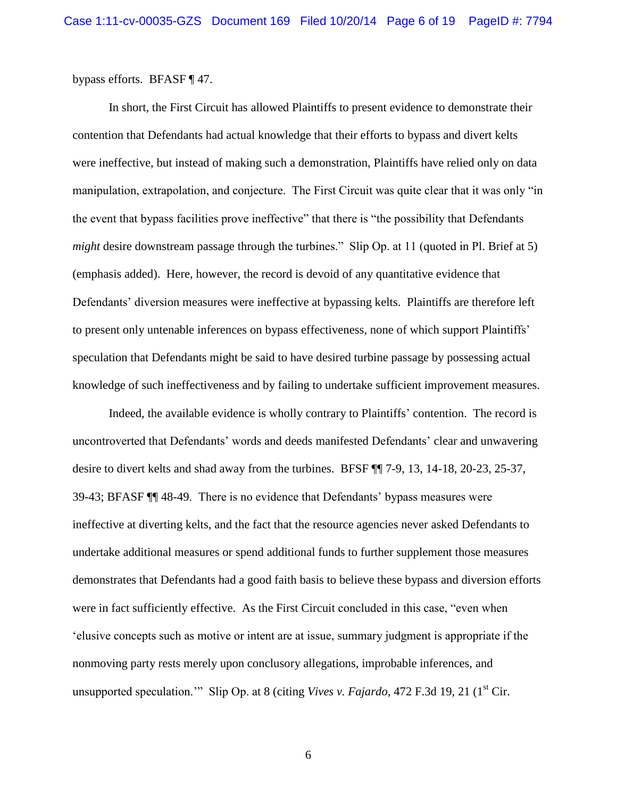bypass efforts. BFASF ¶ 47.

In short, the First Circuit has allowed Plaintiffs to present evidence to demonstrate their contention that Defendants had actual knowledge that their efforts to bypass and divert kelts were ineffective, but instead of making such a demonstration, Plaintiffs have relied only on data manipulation, extrapolation, and conjecture. The First Circuit was quite clear that it was only "in the event that bypass facilities prove ineffective" that there is "the possibility that Defendants *might* desire downstream passage through the turbines." Slip Op. at 11 (quoted in Pl. Brief at 5) (emphasis added). Here, however, the record is devoid of any quantitative evidence that Defendants' diversion measures were ineffective at bypassing kelts. Plaintiffs are therefore left to present only untenable inferences on bypass effectiveness, none of which support Plaintiffs' speculation that Defendants might be said to have desired turbine passage by possessing actual knowledge of such ineffectiveness and by failing to undertake sufficient improvement measures.

Indeed, the available evidence is wholly contrary to Plaintiffs' contention. The record is uncontroverted that Defendants' words and deeds manifested Defendants' clear and unwavering desire to divert kelts and shad away from the turbines. BFSF ¶¶ 7-9, 13, 14-18, 20-23, 25-37, 39-43; BFASF ¶¶ 48-49. There is no evidence that Defendants' bypass measures were ineffective at diverting kelts, and the fact that the resource agencies never asked Defendants to undertake additional measures or spend additional funds to further supplement those measures demonstrates that Defendants had a good faith basis to believe these bypass and diversion efforts were in fact sufficiently effective. As the First Circuit concluded in this case, "even when 'elusive concepts such as motive or intent are at issue, summary judgment is appropriate if the nonmoving party rests merely upon conclusory allegations, improbable inferences, and unsupported speculation." Slip Op. at 8 (citing *Vives v. Fajardo*, 472 F.3d 19, 21 (1<sup>st</sup> Cir.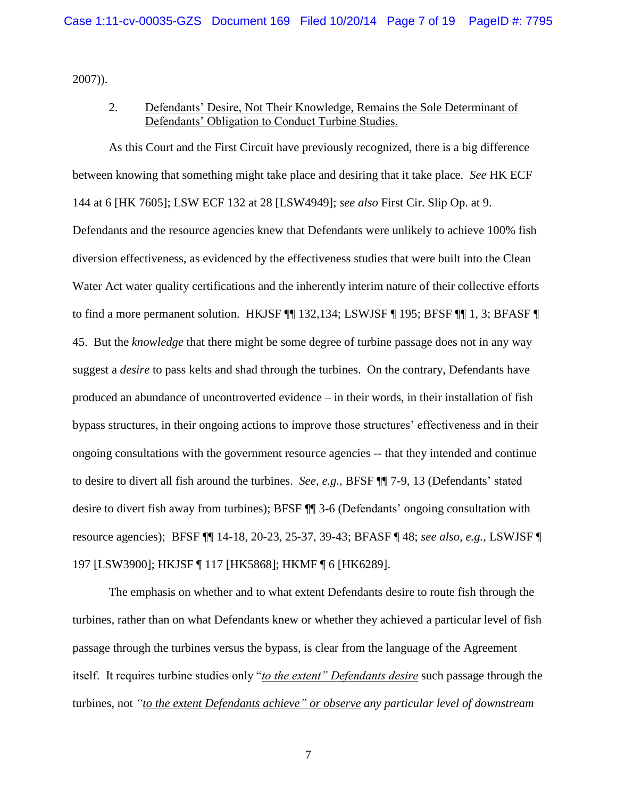2007)).

# 2. Defendants' Desire, Not Their Knowledge, Remains the Sole Determinant of Defendants' Obligation to Conduct Turbine Studies.

As this Court and the First Circuit have previously recognized, there is a big difference between knowing that something might take place and desiring that it take place. *See* HK ECF 144 at 6 [HK 7605]; LSW ECF 132 at 28 [LSW4949]; *see also* First Cir. Slip Op. at 9. Defendants and the resource agencies knew that Defendants were unlikely to achieve 100% fish diversion effectiveness, as evidenced by the effectiveness studies that were built into the Clean Water Act water quality certifications and the inherently interim nature of their collective efforts to find a more permanent solution. HKJSF  $\P$  132,134; LSWJSF  $\P$  195; BFSF  $\P$  1, 3; BFASF  $\P$ 45. But the *knowledge* that there might be some degree of turbine passage does not in any way suggest a *desire* to pass kelts and shad through the turbines. On the contrary, Defendants have produced an abundance of uncontroverted evidence – in their words, in their installation of fish bypass structures, in their ongoing actions to improve those structures' effectiveness and in their ongoing consultations with the government resource agencies -- that they intended and continue to desire to divert all fish around the turbines. *See, e.g.,* BFSF ¶¶ 7-9, 13 (Defendants' stated desire to divert fish away from turbines); BFSF ¶¶ 3-6 (Defendants' ongoing consultation with resource agencies); BFSF ¶¶ 14-18, 20-23, 25-37, 39-43; BFASF ¶ 48; *see also, e.g.,* LSWJSF ¶ 197 [LSW3900]; HKJSF ¶ 117 [HK5868]; HKMF ¶ 6 [HK6289].

The emphasis on whether and to what extent Defendants desire to route fish through the turbines, rather than on what Defendants knew or whether they achieved a particular level of fish passage through the turbines versus the bypass, is clear from the language of the Agreement itself. It requires turbine studies only "*to the extent" Defendants desire* such passage through the turbines, not *"to the extent Defendants achieve" or observe any particular level of downstream*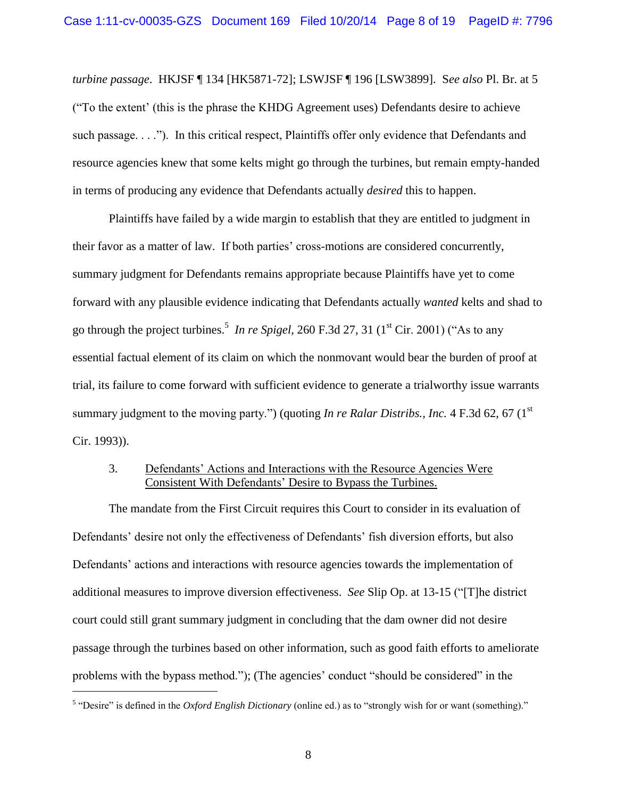*turbine passage*. HKJSF ¶ 134 [HK5871-72]; LSWJSF ¶ 196 [LSW3899]. S*ee also* Pl. Br. at 5 ("To the extent' (this is the phrase the KHDG Agreement uses) Defendants desire to achieve such passage. . . ."). In this critical respect, Plaintiffs offer only evidence that Defendants and resource agencies knew that some kelts might go through the turbines, but remain empty-handed in terms of producing any evidence that Defendants actually *desired* this to happen.

Plaintiffs have failed by a wide margin to establish that they are entitled to judgment in their favor as a matter of law. If both parties' cross-motions are considered concurrently, summary judgment for Defendants remains appropriate because Plaintiffs have yet to come forward with any plausible evidence indicating that Defendants actually *wanted* kelts and shad to go through the project turbines.<sup>5</sup> In re Spigel, 260 F.3d 27, 31 (1<sup>st</sup> Cir. 2001) ("As to any essential factual element of its claim on which the nonmovant would bear the burden of proof at trial, its failure to come forward with sufficient evidence to generate a trialworthy issue warrants summary judgment to the moving party.") (quoting *In re Ralar Distribs., Inc.* 4 F.3d 62, 67 (1<sup>st</sup>) Cir. 1993)).

## 3. Defendants' Actions and Interactions with the Resource Agencies Were Consistent With Defendants' Desire to Bypass the Turbines.

The mandate from the First Circuit requires this Court to consider in its evaluation of Defendants' desire not only the effectiveness of Defendants' fish diversion efforts, but also Defendants' actions and interactions with resource agencies towards the implementation of additional measures to improve diversion effectiveness. *See* Slip Op. at 13-15 ("[T]he district court could still grant summary judgment in concluding that the dam owner did not desire passage through the turbines based on other information, such as good faith efforts to ameliorate problems with the bypass method."); (The agencies' conduct "should be considered" in the

<sup>&</sup>lt;sup>5</sup> "Desire" is defined in the *Oxford English Dictionary* (online ed.) as to "strongly wish for or want (something)."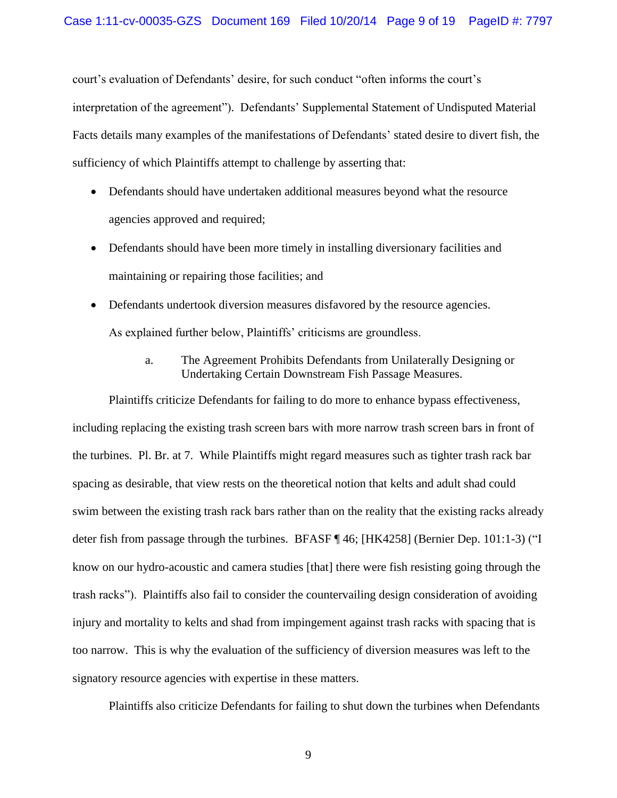court's evaluation of Defendants' desire, for such conduct "often informs the court's interpretation of the agreement"). Defendants' Supplemental Statement of Undisputed Material Facts details many examples of the manifestations of Defendants' stated desire to divert fish, the sufficiency of which Plaintiffs attempt to challenge by asserting that:

- Defendants should have undertaken additional measures beyond what the resource agencies approved and required;
- Defendants should have been more timely in installing diversionary facilities and maintaining or repairing those facilities; and
- Defendants undertook diversion measures disfavored by the resource agencies. As explained further below, Plaintiffs' criticisms are groundless.
	- a. The Agreement Prohibits Defendants from Unilaterally Designing or Undertaking Certain Downstream Fish Passage Measures.

Plaintiffs criticize Defendants for failing to do more to enhance bypass effectiveness, including replacing the existing trash screen bars with more narrow trash screen bars in front of the turbines. Pl. Br. at 7. While Plaintiffs might regard measures such as tighter trash rack bar spacing as desirable, that view rests on the theoretical notion that kelts and adult shad could swim between the existing trash rack bars rather than on the reality that the existing racks already deter fish from passage through the turbines. BFASF ¶ 46; [HK4258] (Bernier Dep. 101:1-3) ("I know on our hydro-acoustic and camera studies [that] there were fish resisting going through the trash racks"). Plaintiffs also fail to consider the countervailing design consideration of avoiding injury and mortality to kelts and shad from impingement against trash racks with spacing that is too narrow. This is why the evaluation of the sufficiency of diversion measures was left to the signatory resource agencies with expertise in these matters.

Plaintiffs also criticize Defendants for failing to shut down the turbines when Defendants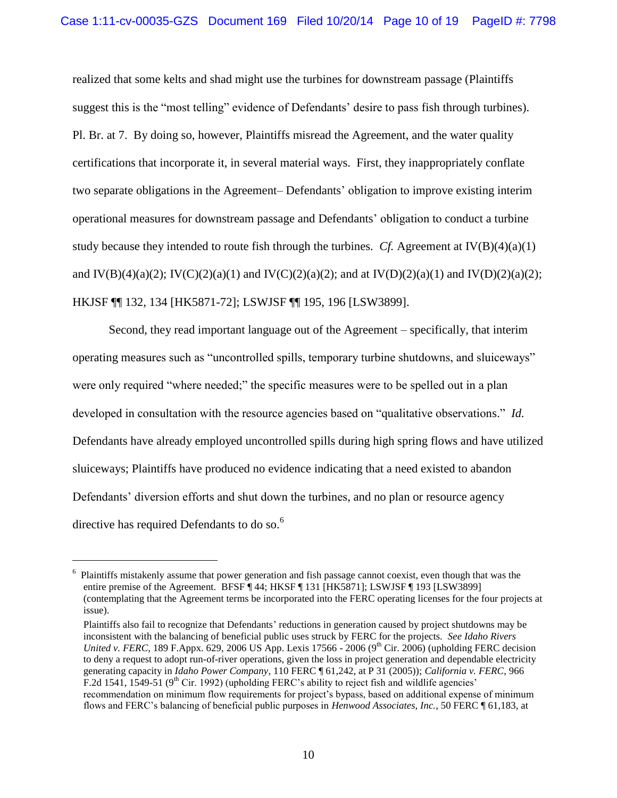realized that some kelts and shad might use the turbines for downstream passage (Plaintiffs suggest this is the "most telling" evidence of Defendants' desire to pass fish through turbines). Pl. Br. at 7.By doing so, however, Plaintiffs misread the Agreement, and the water quality certifications that incorporate it, in several material ways. First, they inappropriately conflate two separate obligations in the Agreement– Defendants' obligation to improve existing interim operational measures for downstream passage and Defendants' obligation to conduct a turbine study because they intended to route fish through the turbines. *Cf.* Agreement at  $IV(B)(4)(a)(1)$ and  $IV(B)(4)(a)(2); IV(C)(2)(a)(1)$  and  $IV(C)(2)(a)(2);$  and at  $IV(D)(2)(a)(1)$  and  $IV(D)(2)(a)(2);$ HKJSF ¶¶ 132, 134 [HK5871-72]; LSWJSF ¶¶ 195, 196 [LSW3899].

Second, they read important language out of the Agreement – specifically, that interim operating measures such as "uncontrolled spills, temporary turbine shutdowns, and sluiceways" were only required "where needed;" the specific measures were to be spelled out in a plan developed in consultation with the resource agencies based on "qualitative observations." *Id.* Defendants have already employed uncontrolled spills during high spring flows and have utilized sluiceways; Plaintiffs have produced no evidence indicating that a need existed to abandon Defendants' diversion efforts and shut down the turbines, and no plan or resource agency directive has required Defendants to do so.<sup>6</sup>

<sup>6</sup> Plaintiffs mistakenly assume that power generation and fish passage cannot coexist, even though that was the entire premise of the Agreement. BFSF ¶ 44; HKSF ¶ 131 [HK5871]; LSWJSF ¶ 193 [LSW3899] (contemplating that the Agreement terms be incorporated into the FERC operating licenses for the four projects at issue).

Plaintiffs also fail to recognize that Defendants' reductions in generation caused by project shutdowns may be inconsistent with the balancing of beneficial public uses struck by FERC for the projects. *See Idaho Rivers United v. FERC*, 189 F.Appx. 629, 2006 US App. Lexis 17566 - 2006 (9<sup>th</sup> Cir. 2006) (upholding FERC decision to deny a request to adopt run-of-river operations, given the loss in project generation and dependable electricity generating capacity in *Idaho Power Company*, 110 FERC ¶ 61,242, at P 31 (2005)); *California v. FERC*, 966 F.2d 1541, 1549-51 ( $9<sup>th</sup>$  Cir. 1992) (upholding FERC's ability to reject fish and wildlife agencies' recommendation on minimum flow requirements for project's bypass, based on additional expense of minimum flows and FERC's balancing of beneficial public purposes in *Henwood Associates, Inc.*, 50 FERC ¶ 61,183, at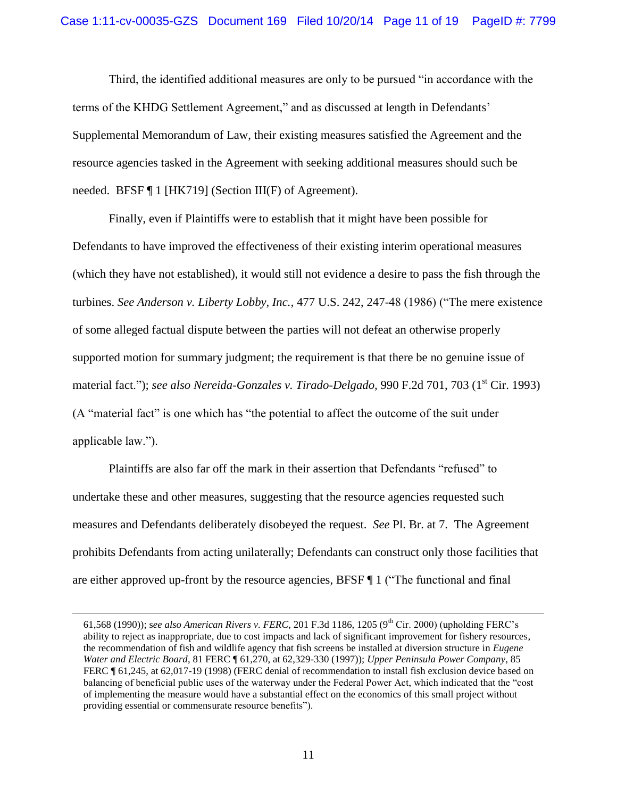Third, the identified additional measures are only to be pursued "in accordance with the terms of the KHDG Settlement Agreement," and as discussed at length in Defendants' Supplemental Memorandum of Law, their existing measures satisfied the Agreement and the resource agencies tasked in the Agreement with seeking additional measures should such be needed. BFSF ¶ 1 [HK719] (Section III(F) of Agreement).

Finally, even if Plaintiffs were to establish that it might have been possible for Defendants to have improved the effectiveness of their existing interim operational measures (which they have not established), it would still not evidence a desire to pass the fish through the turbines. *See Anderson v. Liberty Lobby, Inc.,* 477 U.S. 242, 247-48 (1986) ("The mere existence of some alleged factual dispute between the parties will not defeat an otherwise properly supported motion for summary judgment; the requirement is that there be no genuine issue of material fact."); *see also Nereida-Gonzales v. Tirado-Delgado*, 990 F.2d 701, 703 (1<sup>st</sup> Cir. 1993) (A "material fact" is one which has "the potential to affect the outcome of the suit under applicable law.").

Plaintiffs are also far off the mark in their assertion that Defendants "refused" to undertake these and other measures, suggesting that the resource agencies requested such measures and Defendants deliberately disobeyed the request. *See* Pl. Br. at 7. The Agreement prohibits Defendants from acting unilaterally; Defendants can construct only those facilities that are either approved up-front by the resource agencies, BFSF ¶ 1 ("The functional and final

<sup>61,568 (1990));</sup> see also American Rivers v. FERC, 201 F.3d 1186, 1205 (9<sup>th</sup> Cir. 2000) (upholding FERC's ability to reject as inappropriate, due to cost impacts and lack of significant improvement for fishery resources, the recommendation of fish and wildlife agency that fish screens be installed at diversion structure in *Eugene Water and Electric Board*, 81 FERC ¶ 61,270, at 62,329-330 (1997)); *Upper Peninsula Power Company*, 85 FERC ¶ 61,245, at 62,017-19 (1998) (FERC denial of recommendation to install fish exclusion device based on balancing of beneficial public uses of the waterway under the Federal Power Act, which indicated that the "cost of implementing the measure would have a substantial effect on the economics of this small project without providing essential or commensurate resource benefits").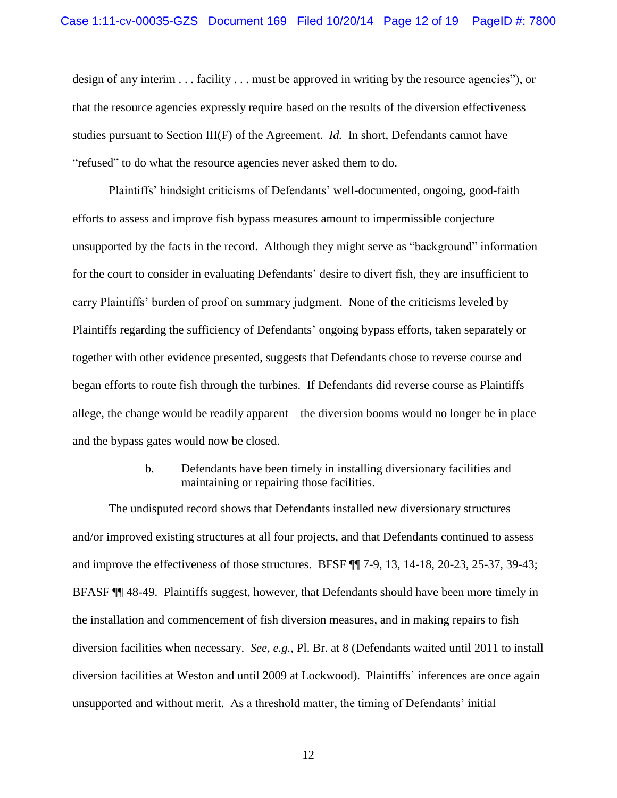design of any interim . . . facility . . . must be approved in writing by the resource agencies"), or that the resource agencies expressly require based on the results of the diversion effectiveness studies pursuant to Section III(F) of the Agreement. *Id.* In short, Defendants cannot have "refused" to do what the resource agencies never asked them to do.

Plaintiffs' hindsight criticisms of Defendants' well-documented, ongoing, good-faith efforts to assess and improve fish bypass measures amount to impermissible conjecture unsupported by the facts in the record. Although they might serve as "background" information for the court to consider in evaluating Defendants' desire to divert fish, they are insufficient to carry Plaintiffs' burden of proof on summary judgment. None of the criticisms leveled by Plaintiffs regarding the sufficiency of Defendants' ongoing bypass efforts, taken separately or together with other evidence presented, suggests that Defendants chose to reverse course and began efforts to route fish through the turbines. If Defendants did reverse course as Plaintiffs allege, the change would be readily apparent – the diversion booms would no longer be in place and the bypass gates would now be closed.

## b. Defendants have been timely in installing diversionary facilities and maintaining or repairing those facilities.

The undisputed record shows that Defendants installed new diversionary structures and/or improved existing structures at all four projects, and that Defendants continued to assess and improve the effectiveness of those structures. BFSF ¶¶ 7-9, 13, 14-18, 20-23, 25-37, 39-43; BFASF ¶¶ 48-49. Plaintiffs suggest, however, that Defendants should have been more timely in the installation and commencement of fish diversion measures, and in making repairs to fish diversion facilities when necessary. *See, e.g.,* Pl. Br. at 8 (Defendants waited until 2011 to install diversion facilities at Weston and until 2009 at Lockwood). Plaintiffs' inferences are once again unsupported and without merit. As a threshold matter, the timing of Defendants' initial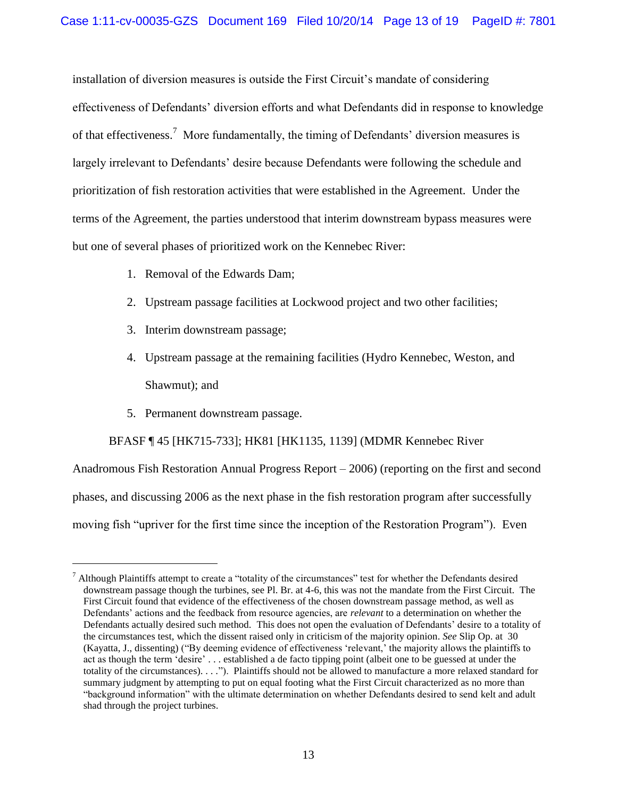installation of diversion measures is outside the First Circuit's mandate of considering effectiveness of Defendants' diversion efforts and what Defendants did in response to knowledge of that effectiveness.<sup>7</sup> More fundamentally, the timing of Defendants' diversion measures is largely irrelevant to Defendants' desire because Defendants were following the schedule and prioritization of fish restoration activities that were established in the Agreement. Under the terms of the Agreement, the parties understood that interim downstream bypass measures were but one of several phases of prioritized work on the Kennebec River:

- 1. Removal of the Edwards Dam;
- 2. Upstream passage facilities at Lockwood project and two other facilities;
- 3. Interim downstream passage;
- 4. Upstream passage at the remaining facilities (Hydro Kennebec, Weston, and Shawmut); and
- 5. Permanent downstream passage.

 $\overline{a}$ 

BFASF ¶ 45 [HK715-733]; HK81 [HK1135, 1139] (MDMR Kennebec River

Anadromous Fish Restoration Annual Progress Report – 2006) (reporting on the first and second phases, and discussing 2006 as the next phase in the fish restoration program after successfully moving fish "upriver for the first time since the inception of the Restoration Program"). Even

 $<sup>7</sup>$  Although Plaintiffs attempt to create a "totality of the circumstances" test for whether the Defendants desired</sup> downstream passage though the turbines, see Pl. Br. at 4-6, this was not the mandate from the First Circuit. The First Circuit found that evidence of the effectiveness of the chosen downstream passage method, as well as Defendants' actions and the feedback from resource agencies, are *relevant* to a determination on whether the Defendants actually desired such method. This does not open the evaluation of Defendants' desire to a totality of the circumstances test, which the dissent raised only in criticism of the majority opinion. *See* Slip Op. at 30 (Kayatta, J., dissenting) ("By deeming evidence of effectiveness 'relevant,' the majority allows the plaintiffs to act as though the term 'desire' . . . established a de facto tipping point (albeit one to be guessed at under the totality of the circumstances). . . ."). Plaintiffs should not be allowed to manufacture a more relaxed standard for summary judgment by attempting to put on equal footing what the First Circuit characterized as no more than "background information" with the ultimate determination on whether Defendants desired to send kelt and adult shad through the project turbines.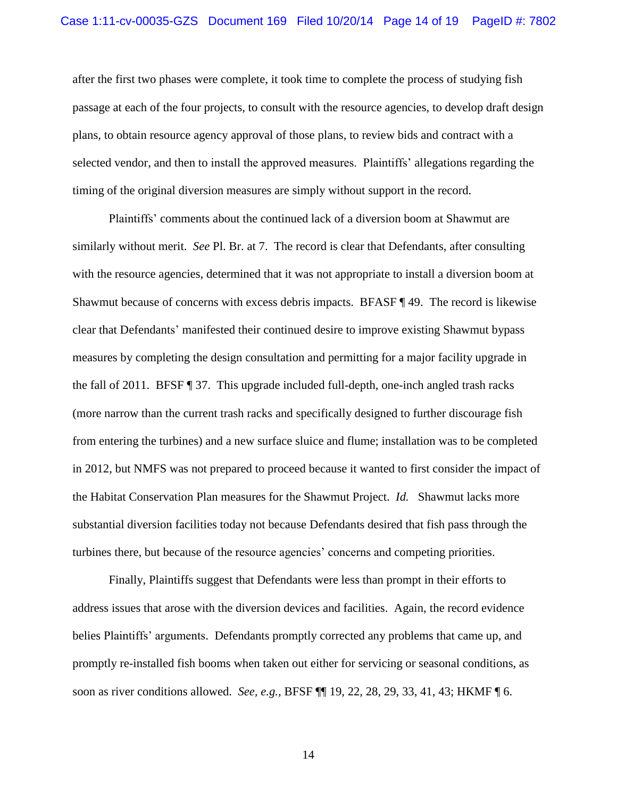after the first two phases were complete, it took time to complete the process of studying fish passage at each of the four projects, to consult with the resource agencies, to develop draft design plans, to obtain resource agency approval of those plans, to review bids and contract with a selected vendor, and then to install the approved measures. Plaintiffs' allegations regarding the timing of the original diversion measures are simply without support in the record.

Plaintiffs' comments about the continued lack of a diversion boom at Shawmut are similarly without merit. *See* Pl. Br. at 7. The record is clear that Defendants, after consulting with the resource agencies, determined that it was not appropriate to install a diversion boom at Shawmut because of concerns with excess debris impacts. BFASF ¶ 49. The record is likewise clear that Defendants' manifested their continued desire to improve existing Shawmut bypass measures by completing the design consultation and permitting for a major facility upgrade in the fall of 2011. BFSF ¶ 37. This upgrade included full-depth, one-inch angled trash racks (more narrow than the current trash racks and specifically designed to further discourage fish from entering the turbines) and a new surface sluice and flume; installation was to be completed in 2012, but NMFS was not prepared to proceed because it wanted to first consider the impact of the Habitat Conservation Plan measures for the Shawmut Project. *Id.* Shawmut lacks more substantial diversion facilities today not because Defendants desired that fish pass through the turbines there, but because of the resource agencies' concerns and competing priorities.

Finally, Plaintiffs suggest that Defendants were less than prompt in their efforts to address issues that arose with the diversion devices and facilities. Again, the record evidence belies Plaintiffs' arguments. Defendants promptly corrected any problems that came up, and promptly re-installed fish booms when taken out either for servicing or seasonal conditions, as soon as river conditions allowed. *See, e.g.,* BFSF ¶¶ 19, 22, 28, 29, 33, 41, 43; HKMF ¶ 6.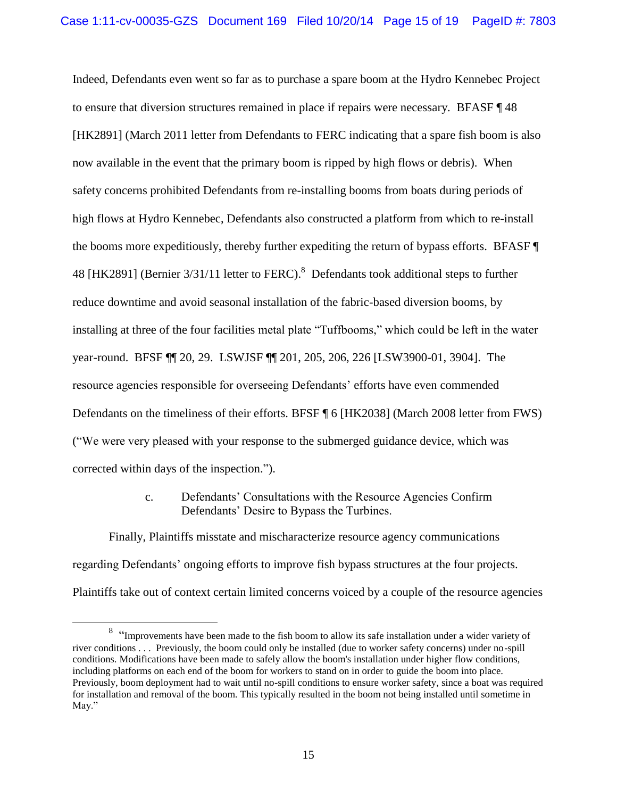Indeed, Defendants even went so far as to purchase a spare boom at the Hydro Kennebec Project to ensure that diversion structures remained in place if repairs were necessary. BFASF ¶ 48 [HK2891] (March 2011 letter from Defendants to FERC indicating that a spare fish boom is also now available in the event that the primary boom is ripped by high flows or debris). When safety concerns prohibited Defendants from re-installing booms from boats during periods of high flows at Hydro Kennebec, Defendants also constructed a platform from which to re-install the booms more expeditiously, thereby further expediting the return of bypass efforts. BFASF ¶ 48 [HK2891] (Bernier  $3/31/11$  letter to FERC).<sup>8</sup> Defendants took additional steps to further reduce downtime and avoid seasonal installation of the fabric-based diversion booms, by installing at three of the four facilities metal plate "Tuffbooms," which could be left in the water year-round. BFSF ¶¶ 20, 29. LSWJSF ¶¶ 201, 205, 206, 226 [LSW3900-01, 3904]. The resource agencies responsible for overseeing Defendants' efforts have even commended Defendants on the timeliness of their efforts. BFSF ¶ 6 [HK2038] (March 2008 letter from FWS) ("We were very pleased with your response to the submerged guidance device, which was corrected within days of the inspection.").

> c. Defendants' Consultations with the Resource Agencies Confirm Defendants' Desire to Bypass the Turbines.

Finally, Plaintiffs misstate and mischaracterize resource agency communications regarding Defendants' ongoing efforts to improve fish bypass structures at the four projects. Plaintiffs take out of context certain limited concerns voiced by a couple of the resource agencies

<sup>&</sup>lt;sup>8</sup> "Improvements have been made to the fish boom to allow its safe installation under a wider variety of river conditions . . . Previously, the boom could only be installed (due to worker safety concerns) under no-spill conditions. Modifications have been made to safely allow the boom's installation under higher flow conditions, including platforms on each end of the boom for workers to stand on in order to guide the boom into place. Previously, boom deployment had to wait until no-spill conditions to ensure worker safety, since a boat was required for installation and removal of the boom. This typically resulted in the boom not being installed until sometime in May."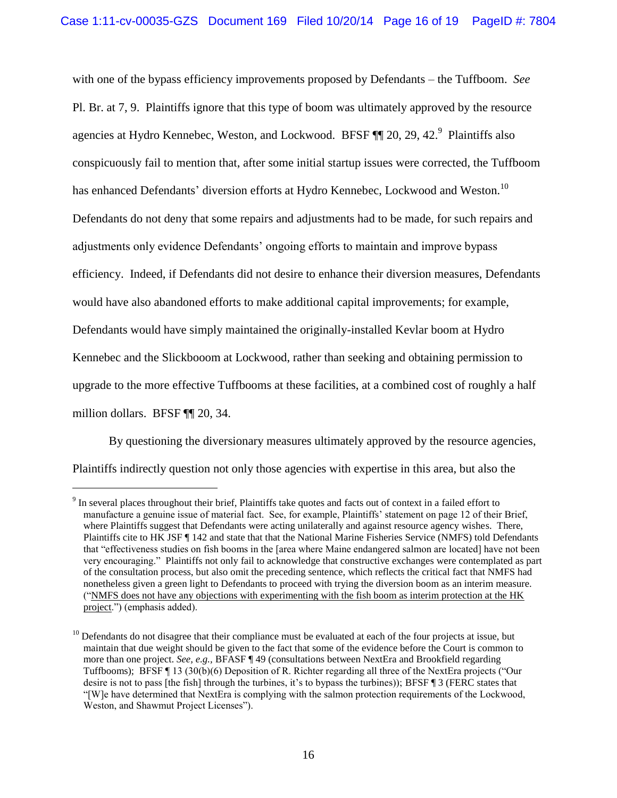with one of the bypass efficiency improvements proposed by Defendants – the Tuffboom. *See*  Pl. Br. at 7, 9. Plaintiffs ignore that this type of boom was ultimately approved by the resource agencies at Hydro Kennebec, Weston, and Lockwood. BFSF  $\P$  20, 29, 42.<sup>9</sup> Plaintiffs also conspicuously fail to mention that, after some initial startup issues were corrected, the Tuffboom has enhanced Defendants' diversion efforts at Hydro Kennebec, Lockwood and Weston.<sup>10</sup> Defendants do not deny that some repairs and adjustments had to be made, for such repairs and adjustments only evidence Defendants' ongoing efforts to maintain and improve bypass efficiency. Indeed, if Defendants did not desire to enhance their diversion measures, Defendants would have also abandoned efforts to make additional capital improvements; for example, Defendants would have simply maintained the originally-installed Kevlar boom at Hydro Kennebec and the Slickbooom at Lockwood, rather than seeking and obtaining permission to upgrade to the more effective Tuffbooms at these facilities, at a combined cost of roughly a half million dollars. BFSF ¶¶ 20, 34.

By questioning the diversionary measures ultimately approved by the resource agencies, Plaintiffs indirectly question not only those agencies with expertise in this area, but also the

 $9<sup>9</sup>$  In several places throughout their brief, Plaintiffs take quotes and facts out of context in a failed effort to manufacture a genuine issue of material fact. See, for example, Plaintiffs' statement on page 12 of their Brief, where Plaintiffs suggest that Defendants were acting unilaterally and against resource agency wishes. There, Plaintiffs cite to HK JSF ¶ 142 and state that that the National Marine Fisheries Service (NMFS) told Defendants that "effectiveness studies on fish booms in the [area where Maine endangered salmon are located] have not been very encouraging." Plaintiffs not only fail to acknowledge that constructive exchanges were contemplated as part of the consultation process, but also omit the preceding sentence, which reflects the critical fact that NMFS had nonetheless given a green light to Defendants to proceed with trying the diversion boom as an interim measure. ("NMFS does not have any objections with experimenting with the fish boom as interim protection at the HK project.") (emphasis added).

 $10$  Defendants do not disagree that their compliance must be evaluated at each of the four projects at issue, but maintain that due weight should be given to the fact that some of the evidence before the Court is common to more than one project. *See, e.g.,* BFASF ¶ 49 (consultations between NextEra and Brookfield regarding Tuffbooms);BFSF ¶ 13 (30(b)(6) Deposition of R. Richter regarding all three of the NextEra projects ("Our desire is not to pass [the fish] through the turbines, it's to bypass the turbines)); BFSF ¶ 3 (FERC states that "[W]e have determined that NextEra is complying with the salmon protection requirements of the Lockwood, Weston, and Shawmut Project Licenses").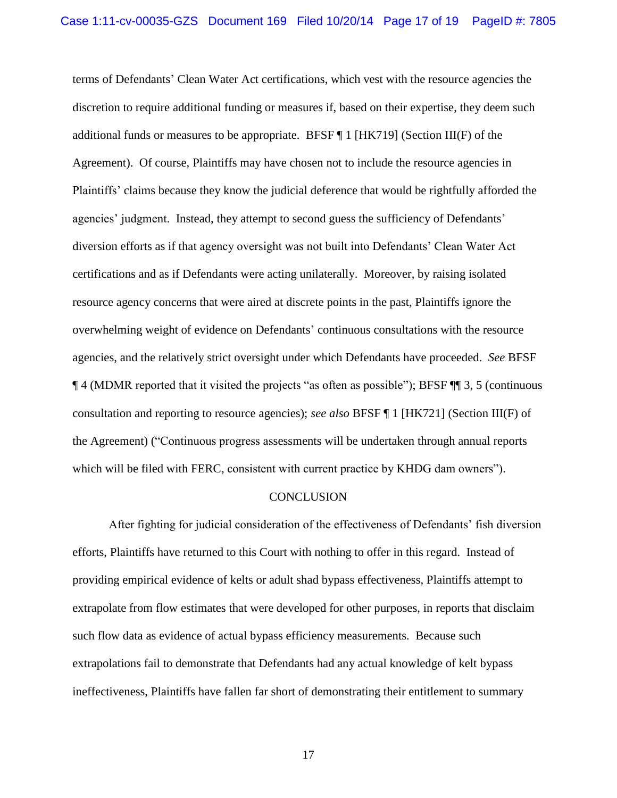terms of Defendants' Clean Water Act certifications, which vest with the resource agencies the discretion to require additional funding or measures if, based on their expertise, they deem such additional funds or measures to be appropriate. BFSF  $\P$  1 [HK719] (Section III(F) of the Agreement). Of course, Plaintiffs may have chosen not to include the resource agencies in Plaintiffs' claims because they know the judicial deference that would be rightfully afforded the agencies' judgment. Instead, they attempt to second guess the sufficiency of Defendants' diversion efforts as if that agency oversight was not built into Defendants' Clean Water Act certifications and as if Defendants were acting unilaterally. Moreover, by raising isolated resource agency concerns that were aired at discrete points in the past, Plaintiffs ignore the overwhelming weight of evidence on Defendants' continuous consultations with the resource agencies, and the relatively strict oversight under which Defendants have proceeded. *See* BFSF ¶ 4 (MDMR reported that it visited the projects "as often as possible"); BFSF ¶¶ 3, 5 (continuous consultation and reporting to resource agencies); *see also* BFSF ¶ 1 [HK721] (Section III(F) of the Agreement) ("Continuous progress assessments will be undertaken through annual reports which will be filed with FERC, consistent with current practice by KHDG dam owners").

#### **CONCLUSION**

After fighting for judicial consideration of the effectiveness of Defendants' fish diversion efforts, Plaintiffs have returned to this Court with nothing to offer in this regard. Instead of providing empirical evidence of kelts or adult shad bypass effectiveness, Plaintiffs attempt to extrapolate from flow estimates that were developed for other purposes, in reports that disclaim such flow data as evidence of actual bypass efficiency measurements. Because such extrapolations fail to demonstrate that Defendants had any actual knowledge of kelt bypass ineffectiveness, Plaintiffs have fallen far short of demonstrating their entitlement to summary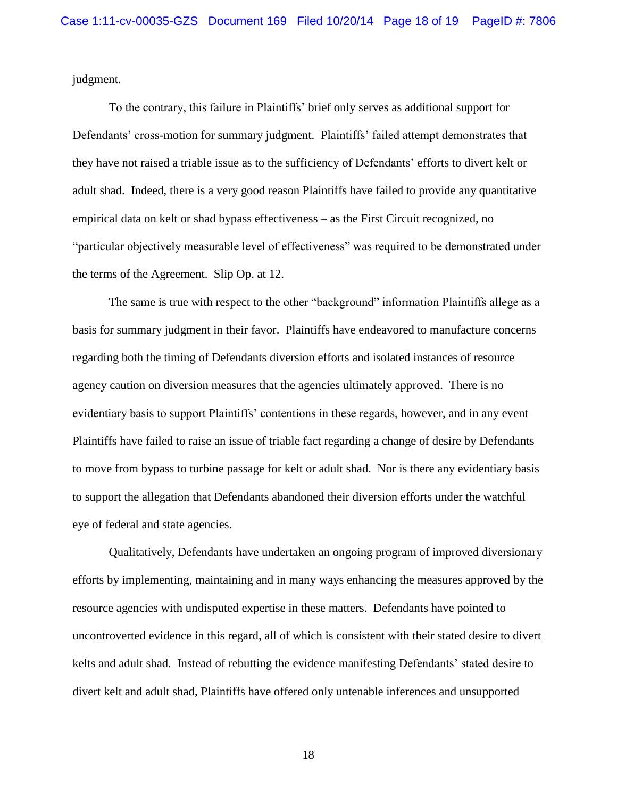judgment.

To the contrary, this failure in Plaintiffs' brief only serves as additional support for Defendants' cross-motion for summary judgment. Plaintiffs' failed attempt demonstrates that they have not raised a triable issue as to the sufficiency of Defendants' efforts to divert kelt or adult shad. Indeed, there is a very good reason Plaintiffs have failed to provide any quantitative empirical data on kelt or shad bypass effectiveness – as the First Circuit recognized, no "particular objectively measurable level of effectiveness" was required to be demonstrated under the terms of the Agreement. Slip Op. at 12.

The same is true with respect to the other "background" information Plaintiffs allege as a basis for summary judgment in their favor. Plaintiffs have endeavored to manufacture concerns regarding both the timing of Defendants diversion efforts and isolated instances of resource agency caution on diversion measures that the agencies ultimately approved. There is no evidentiary basis to support Plaintiffs' contentions in these regards, however, and in any event Plaintiffs have failed to raise an issue of triable fact regarding a change of desire by Defendants to move from bypass to turbine passage for kelt or adult shad. Nor is there any evidentiary basis to support the allegation that Defendants abandoned their diversion efforts under the watchful eye of federal and state agencies.

Qualitatively, Defendants have undertaken an ongoing program of improved diversionary efforts by implementing, maintaining and in many ways enhancing the measures approved by the resource agencies with undisputed expertise in these matters. Defendants have pointed to uncontroverted evidence in this regard, all of which is consistent with their stated desire to divert kelts and adult shad. Instead of rebutting the evidence manifesting Defendants' stated desire to divert kelt and adult shad, Plaintiffs have offered only untenable inferences and unsupported